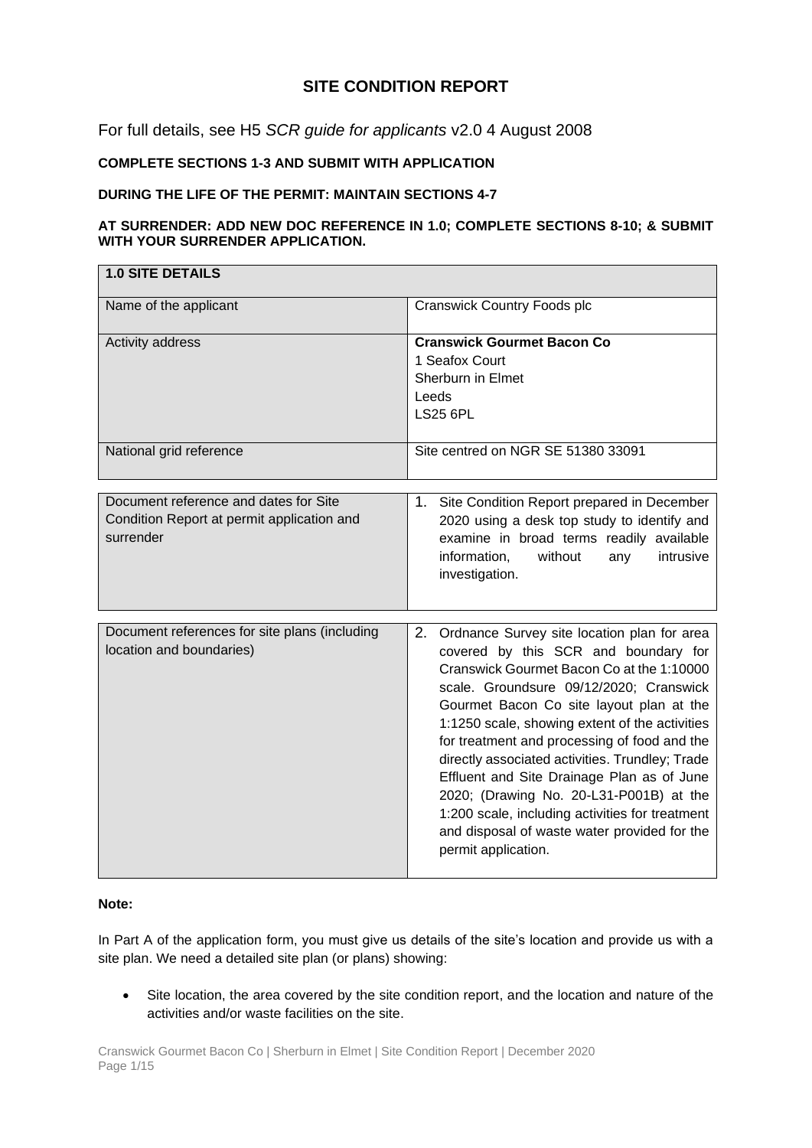# **SITE CONDITION REPORT**

For full details, see H5 *SCR guide for applicants* v2.0 4 August 2008

# **COMPLETE SECTIONS 1-3 AND SUBMIT WITH APPLICATION**

### **DURING THE LIFE OF THE PERMIT: MAINTAIN SECTIONS 4-7**

### **AT SURRENDER: ADD NEW DOC REFERENCE IN 1.0; COMPLETE SECTIONS 8-10; & SUBMIT WITH YOUR SURRENDER APPLICATION.**

| <b>1.0 SITE DETAILS</b>                                                                          |                                                                                                                                                                                                                                                                                                                                                                                                                                                                                                                                                                                                       |  |
|--------------------------------------------------------------------------------------------------|-------------------------------------------------------------------------------------------------------------------------------------------------------------------------------------------------------------------------------------------------------------------------------------------------------------------------------------------------------------------------------------------------------------------------------------------------------------------------------------------------------------------------------------------------------------------------------------------------------|--|
| Name of the applicant                                                                            | <b>Cranswick Country Foods plc</b>                                                                                                                                                                                                                                                                                                                                                                                                                                                                                                                                                                    |  |
| Activity address                                                                                 | <b>Cranswick Gourmet Bacon Co</b><br>1 Seafox Court<br>Sherburn in Elmet<br>Leeds<br><b>LS25 6PL</b><br>Site centred on NGR SE 51380 33091                                                                                                                                                                                                                                                                                                                                                                                                                                                            |  |
| National grid reference                                                                          |                                                                                                                                                                                                                                                                                                                                                                                                                                                                                                                                                                                                       |  |
| Document reference and dates for Site<br>Condition Report at permit application and<br>surrender | 1. Site Condition Report prepared in December<br>2020 using a desk top study to identify and<br>examine in broad terms readily available<br>information,<br>without<br>intrusive<br>any<br>investigation.                                                                                                                                                                                                                                                                                                                                                                                             |  |
| Document references for site plans (including<br>location and boundaries)                        | 2.<br>Ordnance Survey site location plan for area<br>covered by this SCR and boundary for<br>Cranswick Gourmet Bacon Co at the 1:10000<br>scale. Groundsure 09/12/2020; Cranswick<br>Gourmet Bacon Co site layout plan at the<br>1:1250 scale, showing extent of the activities<br>for treatment and processing of food and the<br>directly associated activities. Trundley; Trade<br>Effluent and Site Drainage Plan as of June<br>2020; (Drawing No. 20-L31-P001B) at the<br>1:200 scale, including activities for treatment<br>and disposal of waste water provided for the<br>permit application. |  |

### **Note:**

In Part A of the application form, you must give us details of the site's location and provide us with a site plan. We need a detailed site plan (or plans) showing:

• Site location, the area covered by the site condition report, and the location and nature of the activities and/or waste facilities on the site.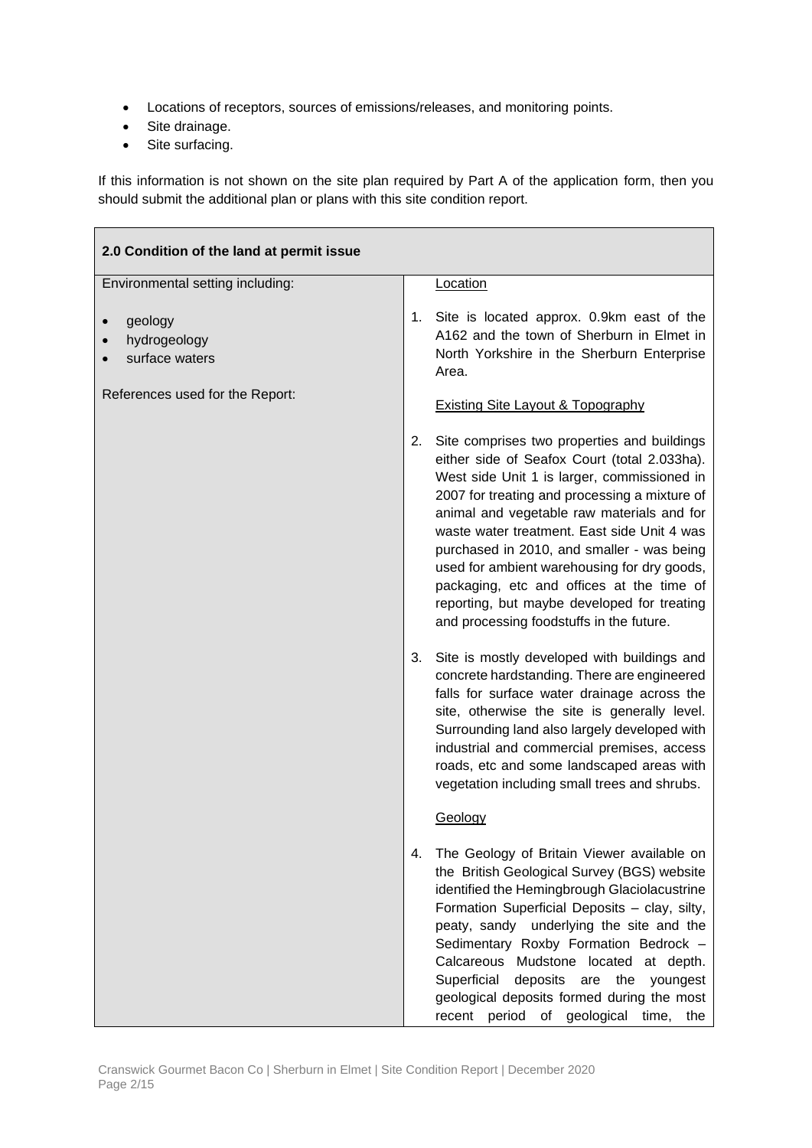- Locations of receptors, sources of emissions/releases, and monitoring points.
- Site drainage.
- Site surfacing.

If this information is not shown on the site plan required by Part A of the application form, then you should submit the additional plan or plans with this site condition report.

| 2.0 Condition of the land at permit issue |                                                                                                                                                                                                                                                                                                                                                                                                                                                                                                                                     |
|-------------------------------------------|-------------------------------------------------------------------------------------------------------------------------------------------------------------------------------------------------------------------------------------------------------------------------------------------------------------------------------------------------------------------------------------------------------------------------------------------------------------------------------------------------------------------------------------|
| Environmental setting including:          | Location                                                                                                                                                                                                                                                                                                                                                                                                                                                                                                                            |
| geology<br>hydrogeology<br>surface waters | 1. Site is located approx. 0.9km east of the<br>A162 and the town of Sherburn in Elmet in<br>North Yorkshire in the Sherburn Enterprise<br>Area.                                                                                                                                                                                                                                                                                                                                                                                    |
| References used for the Report:           | <b>Existing Site Layout &amp; Topography</b>                                                                                                                                                                                                                                                                                                                                                                                                                                                                                        |
|                                           | Site comprises two properties and buildings<br>2.<br>either side of Seafox Court (total 2.033ha).<br>West side Unit 1 is larger, commissioned in<br>2007 for treating and processing a mixture of<br>animal and vegetable raw materials and for<br>waste water treatment. East side Unit 4 was<br>purchased in 2010, and smaller - was being<br>used for ambient warehousing for dry goods,<br>packaging, etc and offices at the time of<br>reporting, but maybe developed for treating<br>and processing foodstuffs in the future. |
|                                           | 3. Site is mostly developed with buildings and<br>concrete hardstanding. There are engineered<br>falls for surface water drainage across the<br>site, otherwise the site is generally level.<br>Surrounding land also largely developed with<br>industrial and commercial premises, access<br>roads, etc and some landscaped areas with<br>vegetation including small trees and shrubs.<br>Geology                                                                                                                                  |
|                                           | The Geology of Britain Viewer available on<br>4.<br>the British Geological Survey (BGS) website<br>identified the Hemingbrough Glaciolacustrine<br>Formation Superficial Deposits - clay, silty,<br>peaty, sandy underlying the site and the<br>Sedimentary Roxby Formation Bedrock -<br>Calcareous Mudstone located at depth.<br>Superficial<br>deposits<br>the<br>are<br>youngest<br>geological deposits formed during the most<br>recent period of geological time,<br>the                                                       |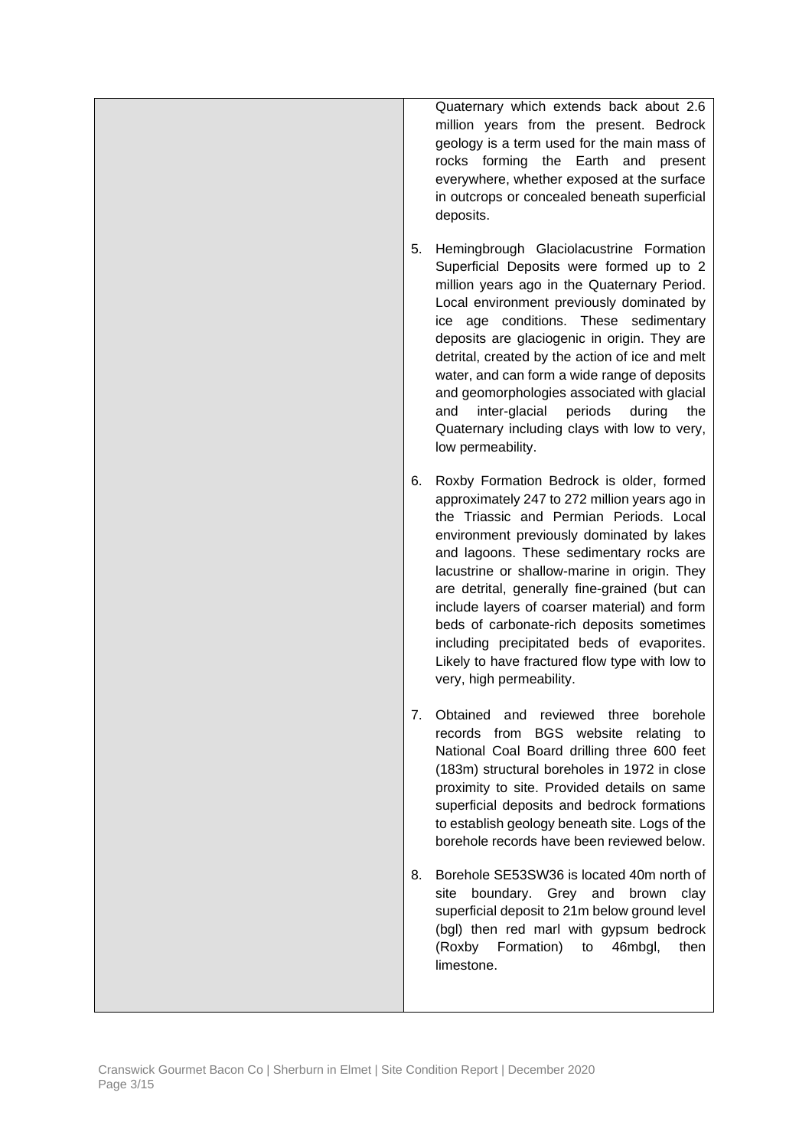|    | Quaternary which extends back about 2.6<br>million years from the present. Bedrock<br>geology is a term used for the main mass of<br>rocks forming the Earth and present<br>everywhere, whether exposed at the surface<br>in outcrops or concealed beneath superficial<br>deposits.                                                                                                                                                                                                                                                                     |
|----|---------------------------------------------------------------------------------------------------------------------------------------------------------------------------------------------------------------------------------------------------------------------------------------------------------------------------------------------------------------------------------------------------------------------------------------------------------------------------------------------------------------------------------------------------------|
| 5. | Hemingbrough Glaciolacustrine Formation<br>Superficial Deposits were formed up to 2<br>million years ago in the Quaternary Period.<br>Local environment previously dominated by<br>ice age conditions. These sedimentary<br>deposits are glaciogenic in origin. They are<br>detrital, created by the action of ice and melt<br>water, and can form a wide range of deposits<br>and geomorphologies associated with glacial<br>inter-glacial<br>periods<br>during<br>and<br>the<br>Quaternary including clays with low to very,<br>low permeability.     |
| 6. | Roxby Formation Bedrock is older, formed<br>approximately 247 to 272 million years ago in<br>the Triassic and Permian Periods. Local<br>environment previously dominated by lakes<br>and lagoons. These sedimentary rocks are<br>lacustrine or shallow-marine in origin. They<br>are detrital, generally fine-grained (but can<br>include layers of coarser material) and form<br>beds of carbonate-rich deposits sometimes<br>including precipitated beds of evaporites.<br>Likely to have fractured flow type with low to<br>very, high permeability. |
| 7. | Obtained and reviewed three<br>borehole<br>records from BGS website relating to<br>National Coal Board drilling three 600 feet<br>(183m) structural boreholes in 1972 in close<br>proximity to site. Provided details on same<br>superficial deposits and bedrock formations<br>to establish geology beneath site. Logs of the<br>borehole records have been reviewed below.                                                                                                                                                                            |
| 8. | Borehole SE53SW36 is located 40m north of<br>boundary. Grey and brown<br>site<br>clay<br>superficial deposit to 21m below ground level<br>(bgl) then red marl with gypsum bedrock<br>Formation)<br>(Roxby<br>46mbgl,<br>then<br>to<br>limestone.                                                                                                                                                                                                                                                                                                        |
|    |                                                                                                                                                                                                                                                                                                                                                                                                                                                                                                                                                         |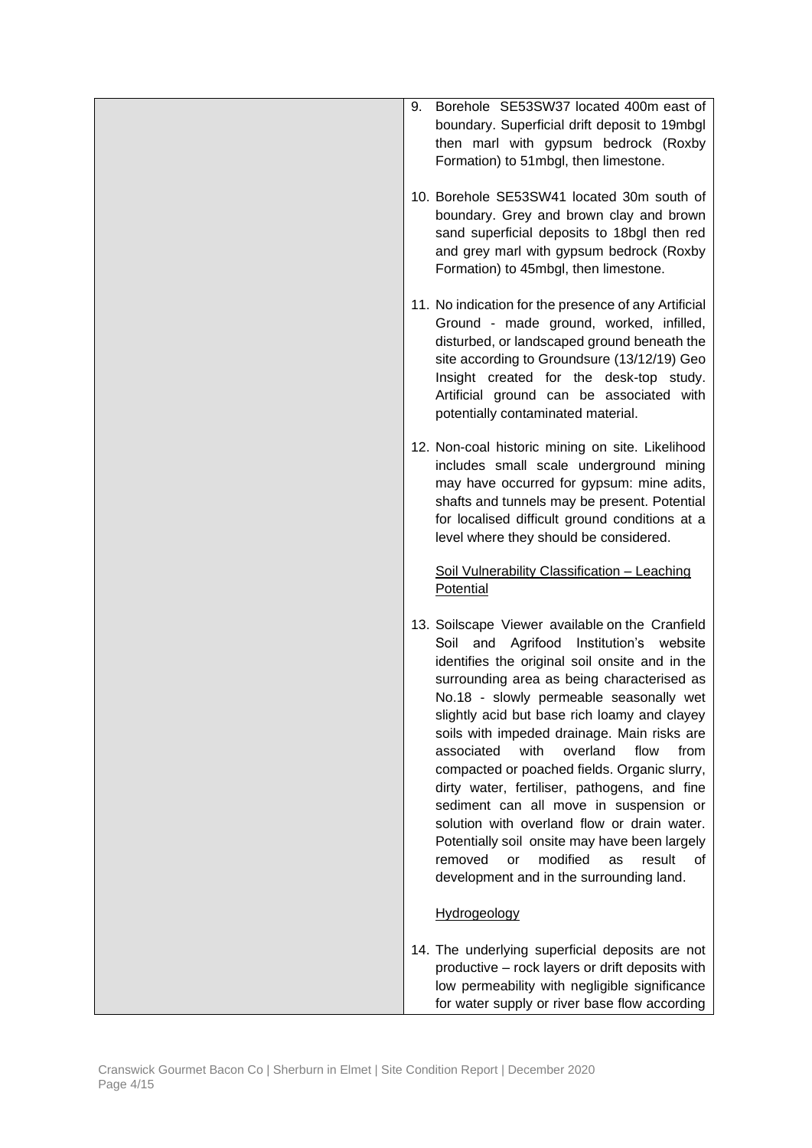| Borehole SE53SW37 located 400m east of<br>9.<br>boundary. Superficial drift deposit to 19mbgl<br>then marl with gypsum bedrock (Roxby<br>Formation) to 51mbgl, then limestone.                                                                                                                                                                                                                                                                                                                                                                                                                                                                                                                                                         |
|----------------------------------------------------------------------------------------------------------------------------------------------------------------------------------------------------------------------------------------------------------------------------------------------------------------------------------------------------------------------------------------------------------------------------------------------------------------------------------------------------------------------------------------------------------------------------------------------------------------------------------------------------------------------------------------------------------------------------------------|
| 10. Borehole SE53SW41 located 30m south of<br>boundary. Grey and brown clay and brown<br>sand superficial deposits to 18bgl then red<br>and grey marl with gypsum bedrock (Roxby<br>Formation) to 45mbgl, then limestone.                                                                                                                                                                                                                                                                                                                                                                                                                                                                                                              |
| 11. No indication for the presence of any Artificial<br>Ground - made ground, worked, infilled,<br>disturbed, or landscaped ground beneath the<br>site according to Groundsure (13/12/19) Geo<br>Insight created for the desk-top study.<br>Artificial ground can be associated with<br>potentially contaminated material.                                                                                                                                                                                                                                                                                                                                                                                                             |
| 12. Non-coal historic mining on site. Likelihood<br>includes small scale underground mining<br>may have occurred for gypsum: mine adits,<br>shafts and tunnels may be present. Potential<br>for localised difficult ground conditions at a<br>level where they should be considered.                                                                                                                                                                                                                                                                                                                                                                                                                                                   |
| Soil Vulnerability Classification - Leaching<br>Potential                                                                                                                                                                                                                                                                                                                                                                                                                                                                                                                                                                                                                                                                              |
| 13. Soilscape Viewer available on the Cranfield<br>Soil and Agrifood Institution's website<br>identifies the original soil onsite and in the<br>surrounding area as being characterised as<br>No.18 - slowly permeable seasonally wet<br>slightly acid but base rich loamy and clayey<br>soils with impeded drainage. Main risks are<br>with<br>overland<br>associated<br>flow<br>from<br>compacted or poached fields. Organic slurry,<br>dirty water, fertiliser, pathogens, and fine<br>sediment can all move in suspension or<br>solution with overland flow or drain water.<br>Potentially soil onsite may have been largely<br>modified<br>removed<br>or<br><b>as</b><br>result<br>οf<br>development and in the surrounding land. |
| Hydrogeology                                                                                                                                                                                                                                                                                                                                                                                                                                                                                                                                                                                                                                                                                                                           |
| 14. The underlying superficial deposits are not<br>productive - rock layers or drift deposits with<br>low permeability with negligible significance<br>for water supply or river base flow according                                                                                                                                                                                                                                                                                                                                                                                                                                                                                                                                   |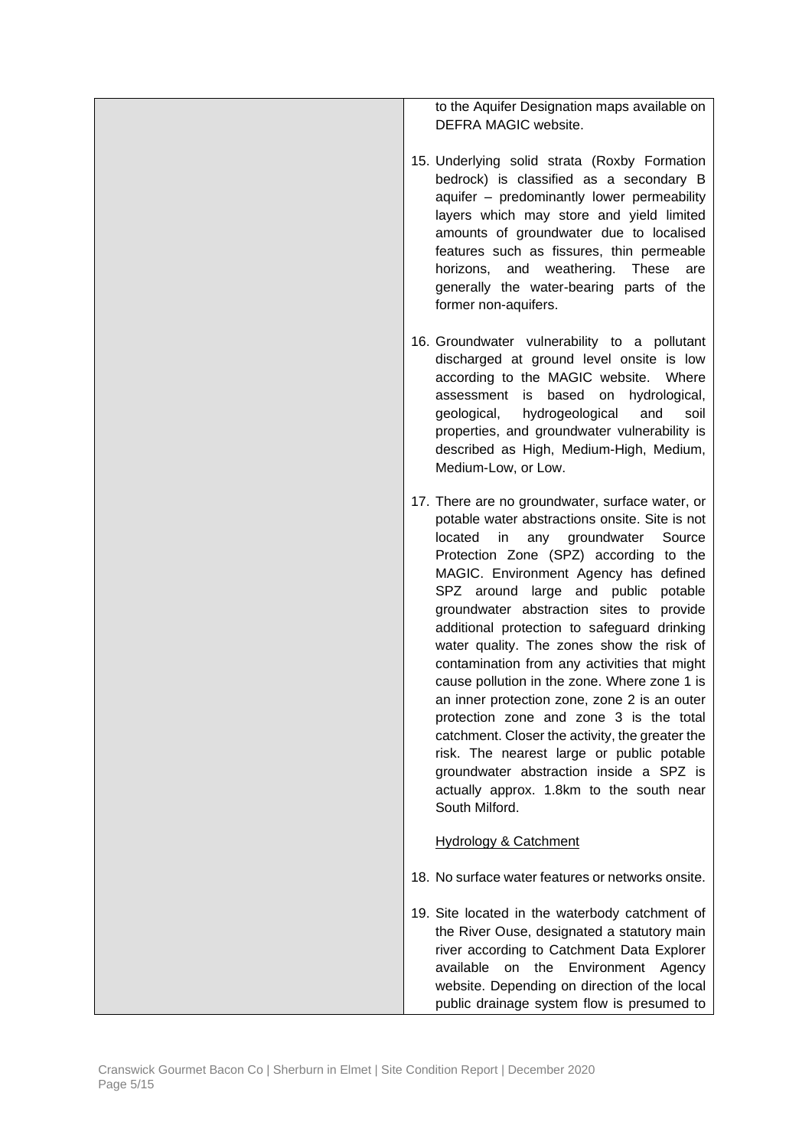to the Aquifer Designation maps available on DEFRA MAGIC website.

- 15. Underlying solid strata (Roxby Formation bedrock) is classified as a secondary B aquifer – predominantly lower permeability layers which may store and yield limited amounts of groundwater due to localised features such as fissures, thin permeable horizons, and weathering. These are generally the water-bearing parts of the former non-aquifers.
- 16. Groundwater vulnerability to a pollutant discharged at ground level onsite is low according to the MAGIC website. Where assessment is based on hydrological, geological, hydrogeological and soil properties, and groundwater vulnerability is described as High, Medium-High, Medium, Medium-Low, or Low.
- 17. There are no groundwater, surface water, or potable water abstractions onsite. Site is not located in any groundwater Source Protection Zone (SPZ) according to the MAGIC. Environment Agency has defined SPZ around large and public potable groundwater abstraction sites to provide additional protection to safeguard drinking water quality. The zones show the risk of contamination from any activities that might cause pollution in the zone. Where zone 1 is an inner protection zone, zone 2 is an outer protection zone and zone 3 is the total catchment. Closer the activity, the greater the risk. The nearest large or public potable groundwater abstraction inside a SPZ is actually approx. 1.8km to the south near South Milford.

### Hydrology & Catchment

- 18. No surface water features or networks onsite.
- 19. Site located in the waterbody catchment of the River Ouse, designated a statutory main river according to Catchment Data Explorer available on the Environment Agency website. Depending on direction of the local public drainage system flow is presumed to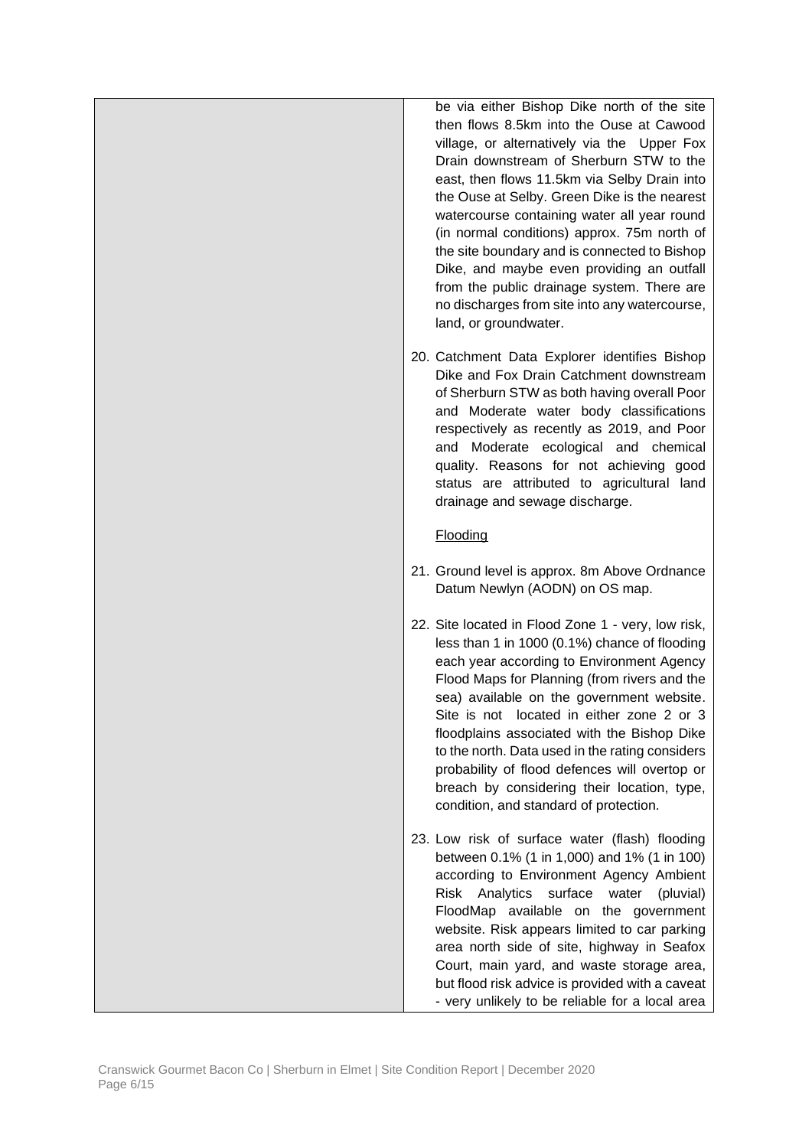be via either Bishop Dike north of the site then flows 8.5km into the Ouse at Cawood village, or alternatively via the Upper Fox Drain downstream of Sherburn STW to the east, then flows 11.5km via Selby Drain into the Ouse at Selby. Green Dike is the nearest watercourse containing water all year round (in normal conditions) approx. 75m north of the site boundary and is connected to Bishop Dike, and maybe even providing an outfall from the public drainage system. There are no discharges from site into any watercourse, land, or groundwater.

20. Catchment Data Explorer identifies Bishop Dike and Fox Drain Catchment downstream of Sherburn STW as both having overall Poor and Moderate water body classifications respectively as recently as 2019, and Poor and Moderate ecological and chemical quality. Reasons for not achieving good status are attributed to agricultural land drainage and sewage discharge.

# Flooding

- 21. Ground level is approx. 8m Above Ordnance Datum Newlyn (AODN) on OS map.
- 22. Site located in Flood Zone 1 very, low risk, less than 1 in 1000 (0.1%) chance of flooding each year according to Environment Agency Flood Maps for Planning (from rivers and the sea) available on the government website. Site is not located in either zone 2 or 3 floodplains associated with the Bishop Dike to the north. Data used in the rating considers probability of flood defences will overtop or breach by considering their location, type, condition, and standard of protection.
- 23. Low risk of surface water (flash) flooding between 0.1% (1 in 1,000) and 1% (1 in 100) according to Environment Agency Ambient Risk Analytics surface water (pluvial) FloodMap available on the government website. Risk appears limited to car parking area north side of site, highway in Seafox Court, main yard, and waste storage area, but flood risk advice is provided with a caveat - very unlikely to be reliable for a local area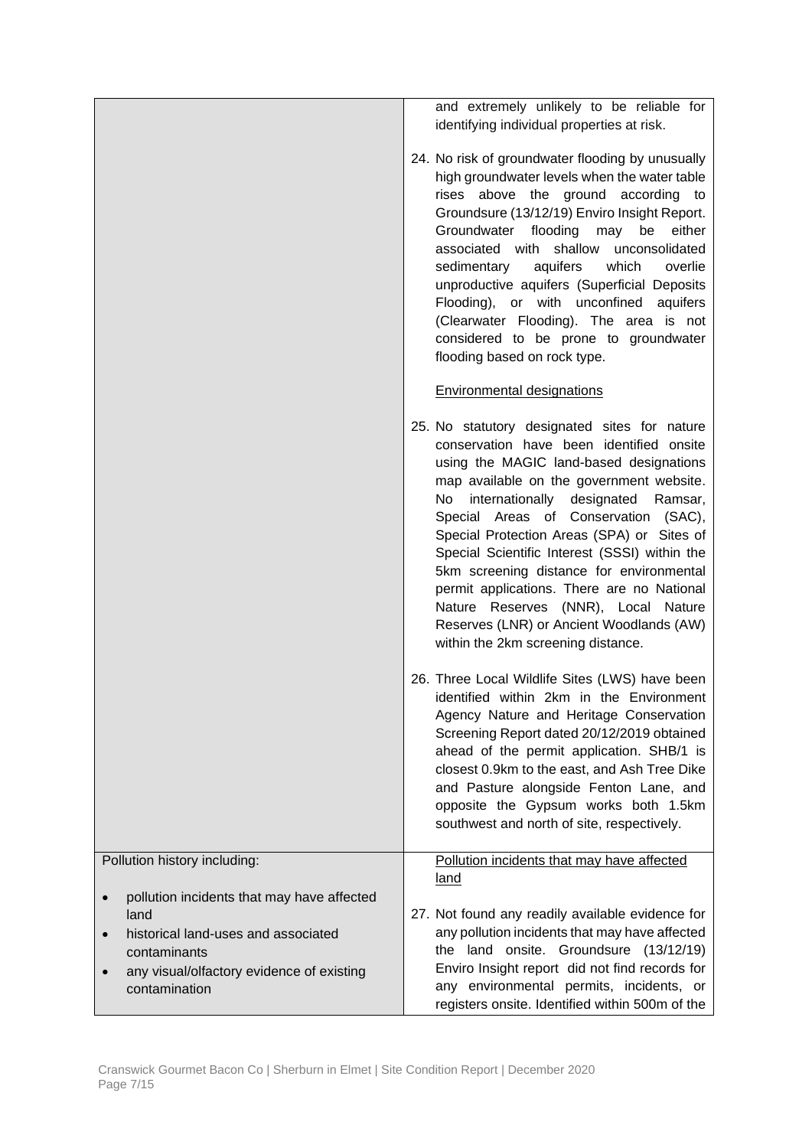|                                                                                                                                                                         | and extremely unlikely to be reliable for<br>identifying individual properties at risk.<br>24. No risk of groundwater flooding by unusually<br>high groundwater levels when the water table<br>rises above the ground according to<br>Groundsure (13/12/19) Enviro Insight Report.<br>Groundwater flooding may be<br>either<br>associated with shallow<br>unconsolidated<br>aquifers<br>which<br>overlie<br>sedimentary<br>unproductive aquifers (Superficial Deposits<br>Flooding), or with unconfined aquifers<br>(Clearwater Flooding). The area is not<br>considered to be prone to groundwater<br>flooding based on rock type. |
|-------------------------------------------------------------------------------------------------------------------------------------------------------------------------|-------------------------------------------------------------------------------------------------------------------------------------------------------------------------------------------------------------------------------------------------------------------------------------------------------------------------------------------------------------------------------------------------------------------------------------------------------------------------------------------------------------------------------------------------------------------------------------------------------------------------------------|
|                                                                                                                                                                         | <b>Environmental designations</b>                                                                                                                                                                                                                                                                                                                                                                                                                                                                                                                                                                                                   |
|                                                                                                                                                                         | 25. No statutory designated sites for nature<br>conservation have been identified onsite<br>using the MAGIC land-based designations<br>map available on the government website.<br>internationally designated<br>No<br>Ramsar,<br>Special Areas of Conservation (SAC),<br>Special Protection Areas (SPA) or Sites of<br>Special Scientific Interest (SSSI) within the<br>5km screening distance for environmental<br>permit applications. There are no National<br>Nature Reserves (NNR), Local Nature<br>Reserves (LNR) or Ancient Woodlands (AW)<br>within the 2km screening distance.                                            |
|                                                                                                                                                                         | 26. Three Local Wildlife Sites (LWS) have been<br>identified within 2km in the Environment<br>Agency Nature and Heritage Conservation<br>Screening Report dated 20/12/2019 obtained<br>ahead of the permit application. SHB/1 is<br>closest 0.9km to the east, and Ash Tree Dike<br>and Pasture alongside Fenton Lane, and<br>opposite the Gypsum works both 1.5km<br>southwest and north of site, respectively.                                                                                                                                                                                                                    |
| Pollution history including:                                                                                                                                            | Pollution incidents that may have affected<br>land                                                                                                                                                                                                                                                                                                                                                                                                                                                                                                                                                                                  |
| pollution incidents that may have affected<br>land<br>historical land-uses and associated<br>contaminants<br>any visual/olfactory evidence of existing<br>contamination | 27. Not found any readily available evidence for<br>any pollution incidents that may have affected<br>the land onsite. Groundsure (13/12/19)<br>Enviro Insight report did not find records for<br>any environmental permits, incidents, or<br>registers onsite. Identified within 500m of the                                                                                                                                                                                                                                                                                                                                       |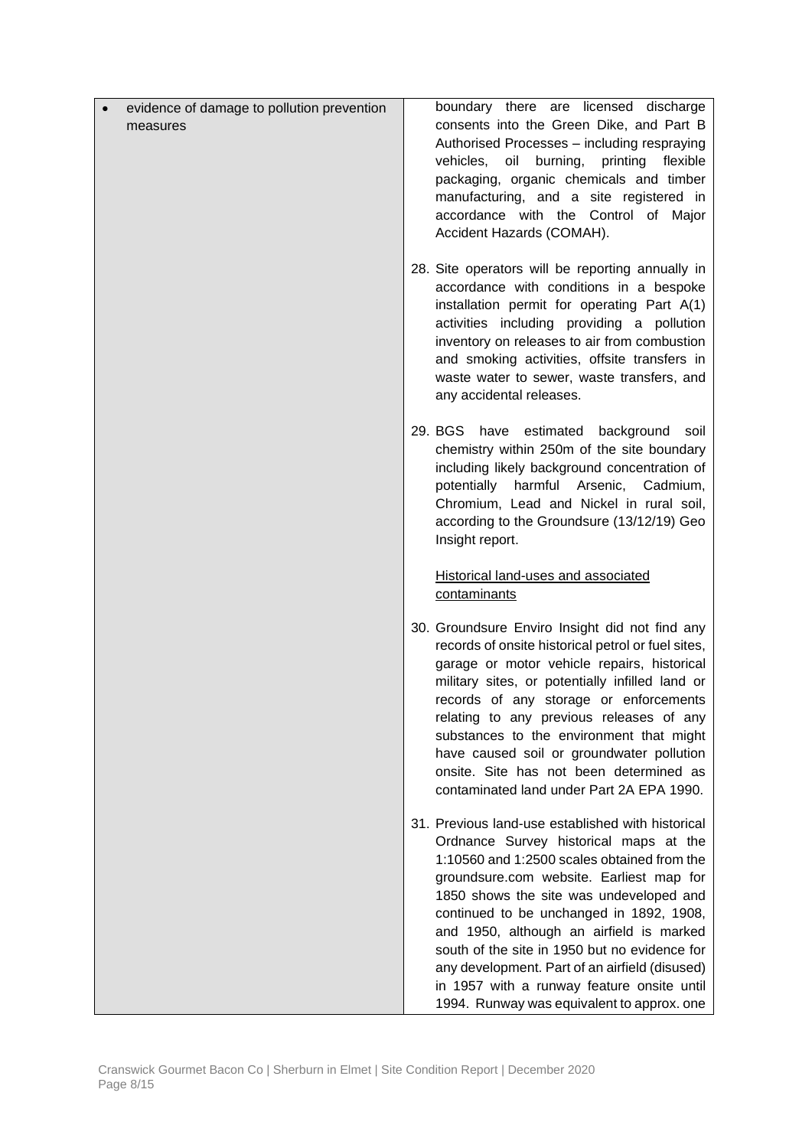| evidence of damage to pollution prevention | boundary there are licensed discharge                                                                                                                                                                                                                                                                                                                                                                                                                                                                                    |
|--------------------------------------------|--------------------------------------------------------------------------------------------------------------------------------------------------------------------------------------------------------------------------------------------------------------------------------------------------------------------------------------------------------------------------------------------------------------------------------------------------------------------------------------------------------------------------|
| measures                                   | consents into the Green Dike, and Part B<br>Authorised Processes - including respraying<br>vehicles,<br>oil burning,<br>printing<br>flexible<br>packaging, organic chemicals and timber<br>manufacturing, and a site registered in<br>accordance with the Control of Major<br>Accident Hazards (COMAH).                                                                                                                                                                                                                  |
|                                            | 28. Site operators will be reporting annually in<br>accordance with conditions in a bespoke<br>installation permit for operating Part A(1)<br>activities including providing a pollution<br>inventory on releases to air from combustion<br>and smoking activities, offsite transfers in<br>waste water to sewer, waste transfers, and<br>any accidental releases.                                                                                                                                                       |
|                                            | 29. BGS have estimated<br>background soil<br>chemistry within 250m of the site boundary<br>including likely background concentration of<br>potentially harmful Arsenic, Cadmium,<br>Chromium, Lead and Nickel in rural soil,<br>according to the Groundsure (13/12/19) Geo<br>Insight report.                                                                                                                                                                                                                            |
|                                            | <b>Historical land-uses and associated</b><br>contaminants                                                                                                                                                                                                                                                                                                                                                                                                                                                               |
|                                            | 30. Groundsure Enviro Insight did not find any<br>records of onsite historical petrol or fuel sites,<br>garage or motor vehicle repairs, historical<br>military sites, or potentially infilled land or<br>records of any storage or enforcements<br>relating to any previous releases of any<br>substances to the environment that might<br>have caused soil or groundwater pollution<br>onsite. Site has not been determined as<br>contaminated land under Part 2A EPA 1990.                                            |
|                                            | 31. Previous land-use established with historical<br>Ordnance Survey historical maps at the<br>1:10560 and 1:2500 scales obtained from the<br>groundsure.com website. Earliest map for<br>1850 shows the site was undeveloped and<br>continued to be unchanged in 1892, 1908,<br>and 1950, although an airfield is marked<br>south of the site in 1950 but no evidence for<br>any development. Part of an airfield (disused)<br>in 1957 with a runway feature onsite until<br>1994. Runway was equivalent to approx. one |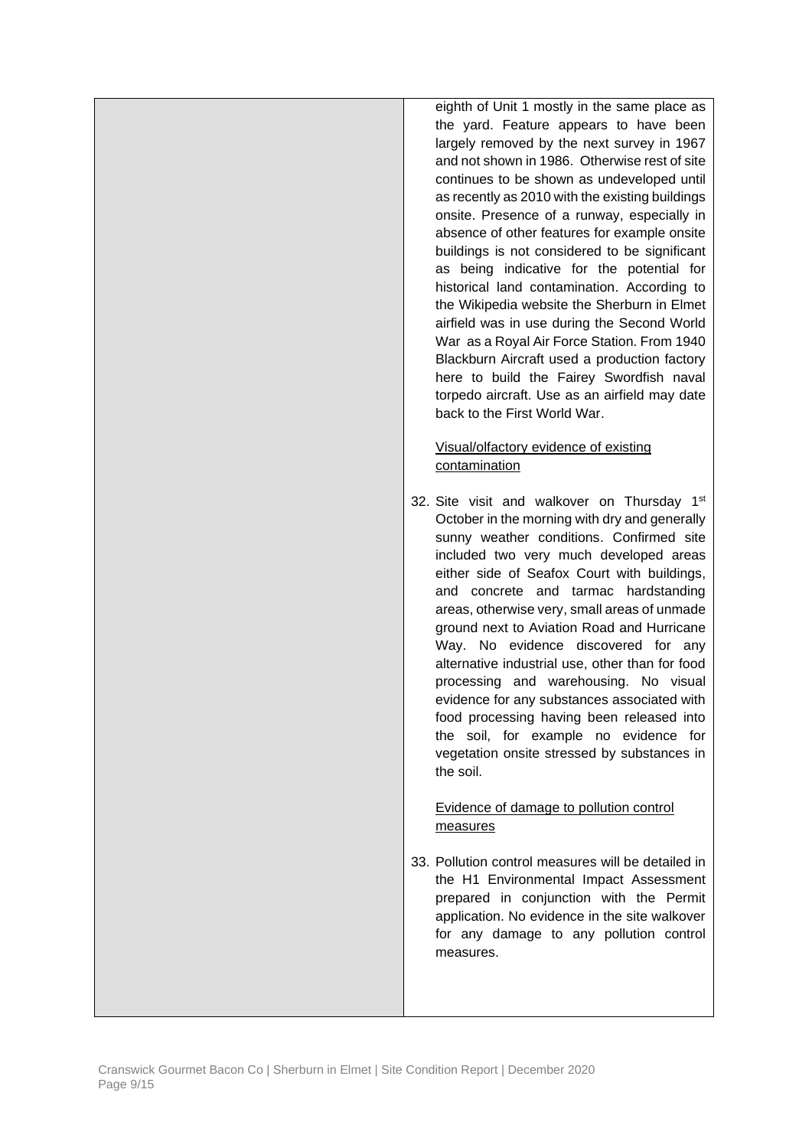eighth of Unit 1 mostly in the same place as the yard. Feature appears to have been largely removed by the next survey in 1967 and not shown in 1986. Otherwise rest of site continues to be shown as undeveloped until as recently as 2010 with the existing buildings onsite. Presence of a runway, especially in absence of other features for example onsite buildings is not considered to be significant as being indicative for the potential for historical land contamination. According to the Wikipedia website the Sherburn in Elmet airfield was in use during the Second World War as a Royal Air Force Station. From 1940 Blackburn Aircraft used a production factory here to build the Fairey Swordfish naval torpedo aircraft. Use as an airfield may date back to the First World War.

# Visual/olfactory evidence of existing contamination

32. Site visit and walkover on Thursday 1<sup>st</sup> October in the morning with dry and generally sunny weather conditions. Confirmed site included two very much developed areas either side of Seafox Court with buildings, and concrete and tarmac hardstanding areas, otherwise very, small areas of unmade ground next to Aviation Road and Hurricane Way. No evidence discovered for any alternative industrial use, other than for food processing and warehousing. No visual evidence for any substances associated with food processing having been released into the soil, for example no evidence for vegetation onsite stressed by substances in the soil.

## Evidence of damage to pollution control measures

33. Pollution control measures will be detailed in the H1 Environmental Impact Assessment prepared in conjunction with the Permit application. No evidence in the site walkover for any damage to any pollution control measures.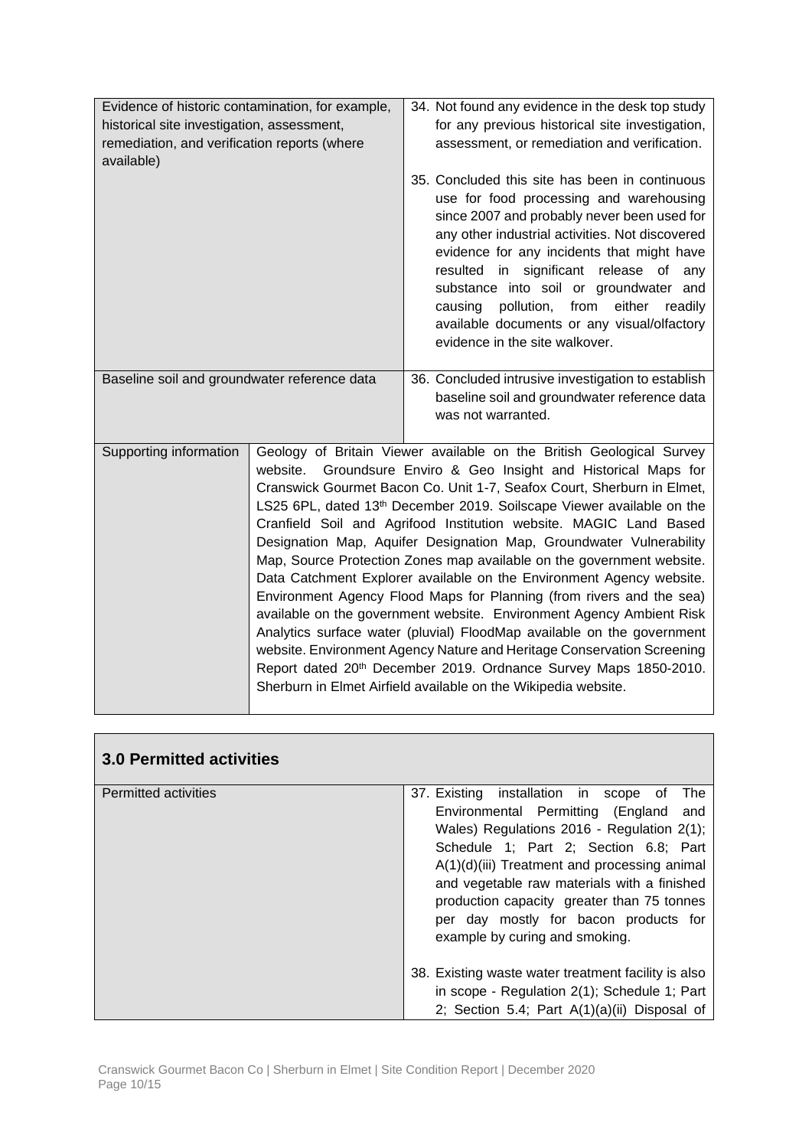| Evidence of historic contamination, for example,<br>historical site investigation, assessment,<br>remediation, and verification reports (where<br>available) |  | 34. Not found any evidence in the desk top study<br>for any previous historical site investigation,<br>assessment, or remediation and verification.<br>35. Concluded this site has been in continuous<br>use for food processing and warehousing<br>since 2007 and probably never been used for<br>any other industrial activities. Not discovered<br>evidence for any incidents that might have<br>resulted in significant release of any<br>substance into soil or groundwater and<br>pollution,<br>from<br>either readily<br>causing                                                                                                                                                                                                                                                                                                                                                                                                                                                                                                        |
|--------------------------------------------------------------------------------------------------------------------------------------------------------------|--|------------------------------------------------------------------------------------------------------------------------------------------------------------------------------------------------------------------------------------------------------------------------------------------------------------------------------------------------------------------------------------------------------------------------------------------------------------------------------------------------------------------------------------------------------------------------------------------------------------------------------------------------------------------------------------------------------------------------------------------------------------------------------------------------------------------------------------------------------------------------------------------------------------------------------------------------------------------------------------------------------------------------------------------------|
|                                                                                                                                                              |  | available documents or any visual/olfactory<br>evidence in the site walkover.                                                                                                                                                                                                                                                                                                                                                                                                                                                                                                                                                                                                                                                                                                                                                                                                                                                                                                                                                                  |
| Baseline soil and groundwater reference data                                                                                                                 |  | 36. Concluded intrusive investigation to establish<br>baseline soil and groundwater reference data<br>was not warranted.                                                                                                                                                                                                                                                                                                                                                                                                                                                                                                                                                                                                                                                                                                                                                                                                                                                                                                                       |
| Supporting information                                                                                                                                       |  | Geology of Britain Viewer available on the British Geological Survey<br>website. Groundsure Enviro & Geo Insight and Historical Maps for<br>Cranswick Gourmet Bacon Co. Unit 1-7, Seafox Court, Sherburn in Elmet,<br>LS25 6PL, dated 13 <sup>th</sup> December 2019. Soilscape Viewer available on the<br>Cranfield Soil and Agrifood Institution website. MAGIC Land Based<br>Designation Map, Aquifer Designation Map, Groundwater Vulnerability<br>Map, Source Protection Zones map available on the government website.<br>Data Catchment Explorer available on the Environment Agency website.<br>Environment Agency Flood Maps for Planning (from rivers and the sea)<br>available on the government website. Environment Agency Ambient Risk<br>Analytics surface water (pluvial) FloodMap available on the government<br>website. Environment Agency Nature and Heritage Conservation Screening<br>Report dated 20th December 2019. Ordnance Survey Maps 1850-2010.<br>Sherburn in Elmet Airfield available on the Wikipedia website. |

| <b>3.0 Permitted activities</b> |                                                                                                                                                                                                                                                                                                                                                                                                                 |
|---------------------------------|-----------------------------------------------------------------------------------------------------------------------------------------------------------------------------------------------------------------------------------------------------------------------------------------------------------------------------------------------------------------------------------------------------------------|
| <b>Permitted activities</b>     | 37. Existing installation in<br>scope<br>The<br>0t<br>Environmental Permitting (England<br>and<br>Wales) Regulations 2016 - Regulation 2(1);<br>Schedule 1; Part 2; Section 6.8; Part<br>$A(1)(d)(iii)$ Treatment and processing animal<br>and vegetable raw materials with a finished<br>production capacity greater than 75 tonnes<br>per day mostly for bacon products for<br>example by curing and smoking. |
|                                 | 38. Existing waste water treatment facility is also<br>in scope - Regulation 2(1); Schedule 1; Part<br>2; Section 5.4; Part A(1)(a)(ii) Disposal of                                                                                                                                                                                                                                                             |

 $\overline{\phantom{0}}$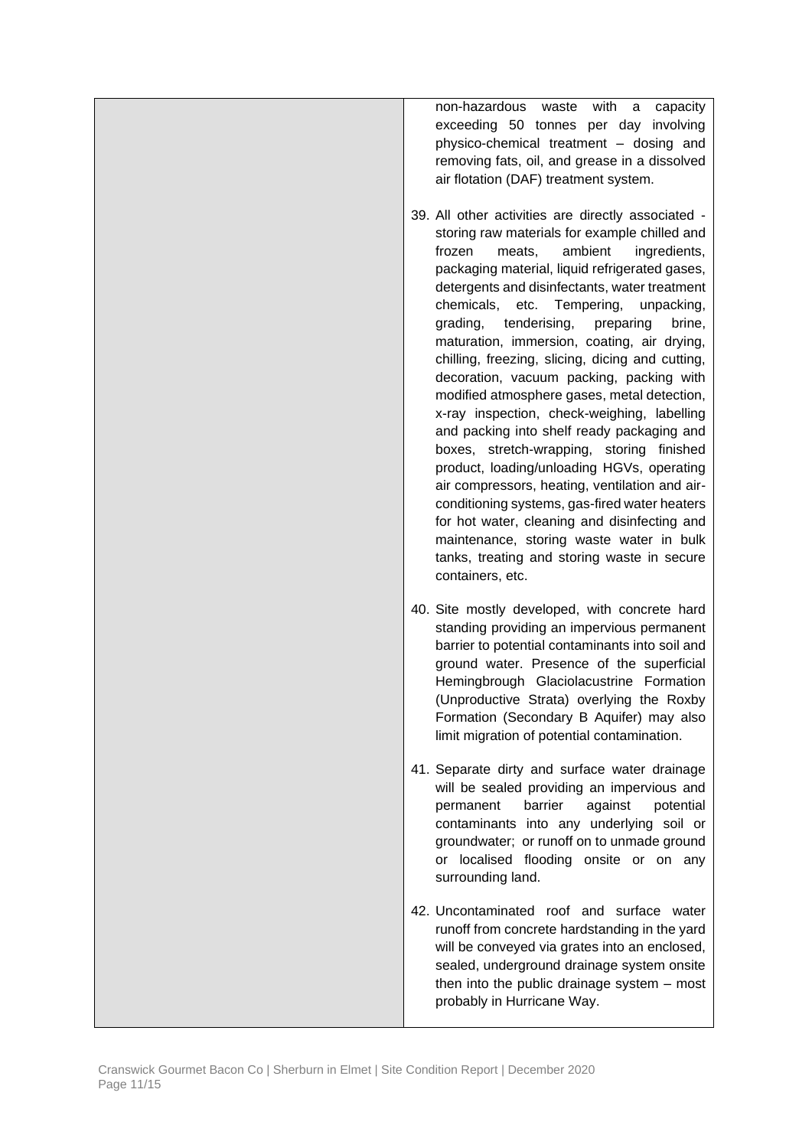non-hazardous waste with a capacity exceeding 50 tonnes per day involving physico-chemical treatment – dosing and removing fats, oil, and grease in a dissolved air flotation (DAF) treatment system.

- 39. All other activities are directly associated storing raw materials for example chilled and frozen meats, ambient ingredients, packaging material, liquid refrigerated gases, detergents and disinfectants, water treatment chemicals, etc. Tempering, unpacking, grading, tenderising, preparing brine, maturation, immersion, coating, air drying, chilling, freezing, slicing, dicing and cutting, decoration, vacuum packing, packing with modified atmosphere gases, metal detection, x-ray inspection, check-weighing, labelling and packing into shelf ready packaging and boxes, stretch-wrapping, storing finished product, loading/unloading HGVs, operating air compressors, heating, ventilation and airconditioning systems, gas-fired water heaters for hot water, cleaning and disinfecting and maintenance, storing waste water in bulk tanks, treating and storing waste in secure containers, etc.
- 40. Site mostly developed, with concrete hard standing providing an impervious permanent barrier to potential contaminants into soil and ground water. Presence of the superficial Hemingbrough Glaciolacustrine Formation (Unproductive Strata) overlying the Roxby Formation (Secondary B Aquifer) may also limit migration of potential contamination.
- 41. Separate dirty and surface water drainage will be sealed providing an impervious and permanent barrier against potential contaminants into any underlying soil or groundwater; or runoff on to unmade ground or localised flooding onsite or on any surrounding land.
- 42. Uncontaminated roof and surface water runoff from concrete hardstanding in the yard will be conveyed via grates into an enclosed, sealed, underground drainage system onsite then into the public drainage system – most probably in Hurricane Way.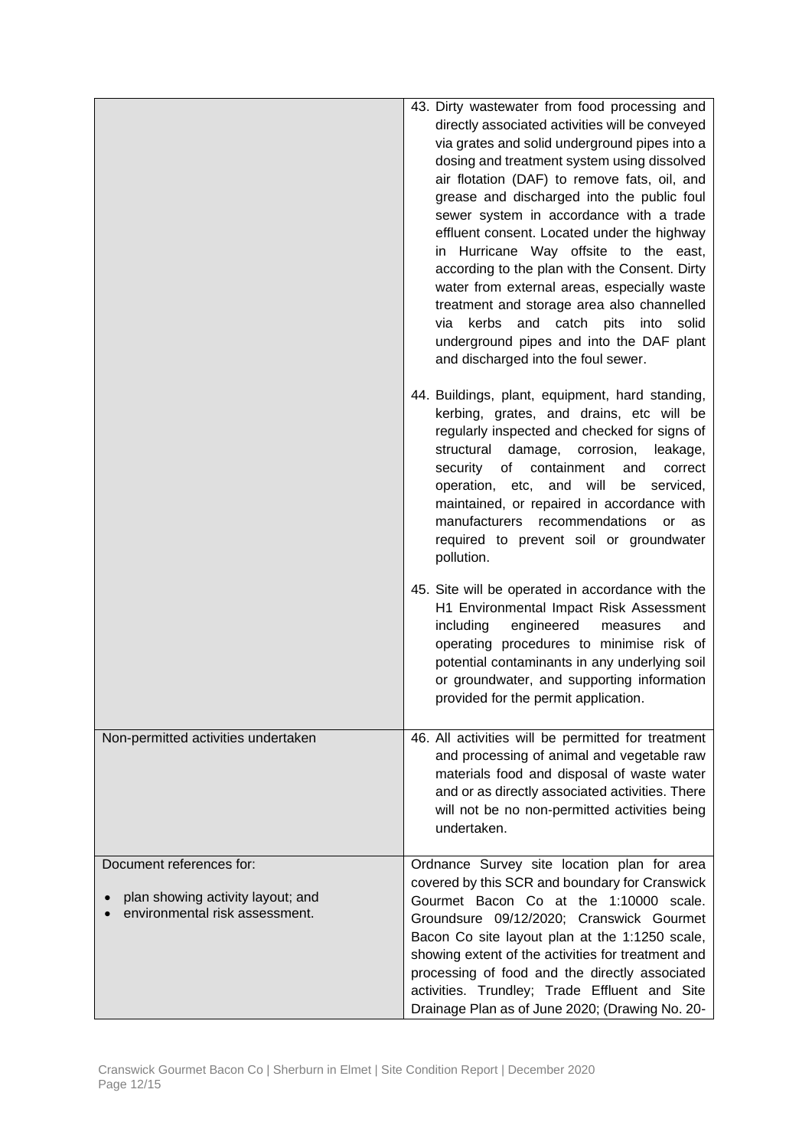|                                                                     | 43. Dirty wastewater from food processing and<br>directly associated activities will be conveyed<br>via grates and solid underground pipes into a<br>dosing and treatment system using dissolved<br>air flotation (DAF) to remove fats, oil, and<br>grease and discharged into the public foul<br>sewer system in accordance with a trade<br>effluent consent. Located under the highway<br>in Hurricane Way offsite to the east,<br>according to the plan with the Consent. Dirty<br>water from external areas, especially waste<br>treatment and storage area also channelled<br>kerbs<br>and<br>catch pits<br>into<br>via<br>solid<br>underground pipes and into the DAF plant<br>and discharged into the foul sewer. |
|---------------------------------------------------------------------|--------------------------------------------------------------------------------------------------------------------------------------------------------------------------------------------------------------------------------------------------------------------------------------------------------------------------------------------------------------------------------------------------------------------------------------------------------------------------------------------------------------------------------------------------------------------------------------------------------------------------------------------------------------------------------------------------------------------------|
|                                                                     | 44. Buildings, plant, equipment, hard standing,<br>kerbing, grates, and drains, etc will be<br>regularly inspected and checked for signs of<br>structural<br>damage, corrosion,<br>leakage,<br>of<br>containment<br>security<br>correct<br>and<br>operation,<br>and will<br>be<br>serviced,<br>etc,<br>maintained, or repaired in accordance with<br>manufacturers<br>recommendations<br>or<br>as<br>required to prevent soil or groundwater<br>pollution.                                                                                                                                                                                                                                                               |
|                                                                     | 45. Site will be operated in accordance with the<br>H1 Environmental Impact Risk Assessment<br>including<br>engineered<br>measures<br>and<br>operating procedures to minimise risk of<br>potential contaminants in any underlying soil<br>or groundwater, and supporting information<br>provided for the permit application.                                                                                                                                                                                                                                                                                                                                                                                             |
| Non-permitted activities undertaken                                 | 46. All activities will be permitted for treatment<br>and processing of animal and vegetable raw<br>materials food and disposal of waste water<br>and or as directly associated activities. There<br>will not be no non-permitted activities being<br>undertaken.                                                                                                                                                                                                                                                                                                                                                                                                                                                        |
| Document references for:                                            | Ordnance Survey site location plan for area<br>covered by this SCR and boundary for Cranswick                                                                                                                                                                                                                                                                                                                                                                                                                                                                                                                                                                                                                            |
| plan showing activity layout; and<br>environmental risk assessment. | Gourmet Bacon Co at the 1:10000 scale.<br>Groundsure 09/12/2020; Cranswick Gourmet<br>Bacon Co site layout plan at the 1:1250 scale,<br>showing extent of the activities for treatment and<br>processing of food and the directly associated<br>activities. Trundley; Trade Effluent and Site<br>Drainage Plan as of June 2020; (Drawing No. 20-                                                                                                                                                                                                                                                                                                                                                                         |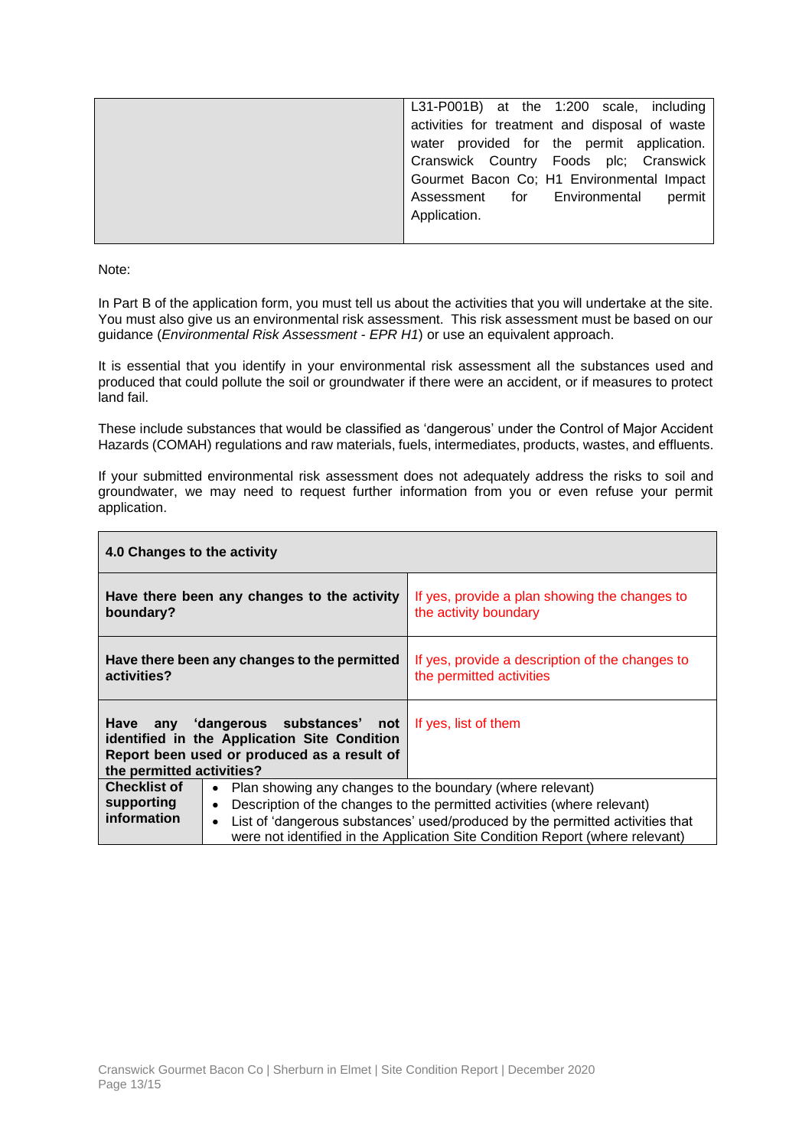| L31-P001B) at the 1:200 scale, including       |
|------------------------------------------------|
| activities for treatment and disposal of waste |
| water provided for the permit application.     |
| Cranswick Country Foods plc; Cranswick         |
| Gourmet Bacon Co; H1 Environmental Impact      |
| Assessment for Environmental<br>permit         |
| Application.                                   |
|                                                |

Note:

In Part B of the application form, you must tell us about the activities that you will undertake at the site. You must also give us an environmental risk assessment. This risk assessment must be based on our guidance (*Environmental Risk Assessment - EPR H1*) or use an equivalent approach.

It is essential that you identify in your environmental risk assessment all the substances used and produced that could pollute the soil or groundwater if there were an accident, or if measures to protect land fail.

These include substances that would be classified as 'dangerous' under the Control of Major Accident Hazards (COMAH) regulations and raw materials, fuels, intermediates, products, wastes, and effluents.

If your submitted environmental risk assessment does not adequately address the risks to soil and groundwater, we may need to request further information from you or even refuse your permit application.

| 4.0 Changes to the activity                      |                                                                                                                                    |                                                                                                                                                                                                                                                                                                        |
|--------------------------------------------------|------------------------------------------------------------------------------------------------------------------------------------|--------------------------------------------------------------------------------------------------------------------------------------------------------------------------------------------------------------------------------------------------------------------------------------------------------|
| boundary?                                        | Have there been any changes to the activity                                                                                        | If yes, provide a plan showing the changes to<br>the activity boundary                                                                                                                                                                                                                                 |
| activities?                                      | Have there been any changes to the permitted                                                                                       | If yes, provide a description of the changes to<br>the permitted activities                                                                                                                                                                                                                            |
| the permitted activities?                        | Have any 'dangerous substances' not<br>identified in the Application Site Condition<br>Report been used or produced as a result of | If yes, list of them                                                                                                                                                                                                                                                                                   |
| <b>Checklist of</b><br>supporting<br>information | $\bullet$<br>$\bullet$<br>$\bullet$                                                                                                | Plan showing any changes to the boundary (where relevant)<br>Description of the changes to the permitted activities (where relevant)<br>List of 'dangerous substances' used/produced by the permitted activities that<br>were not identified in the Application Site Condition Report (where relevant) |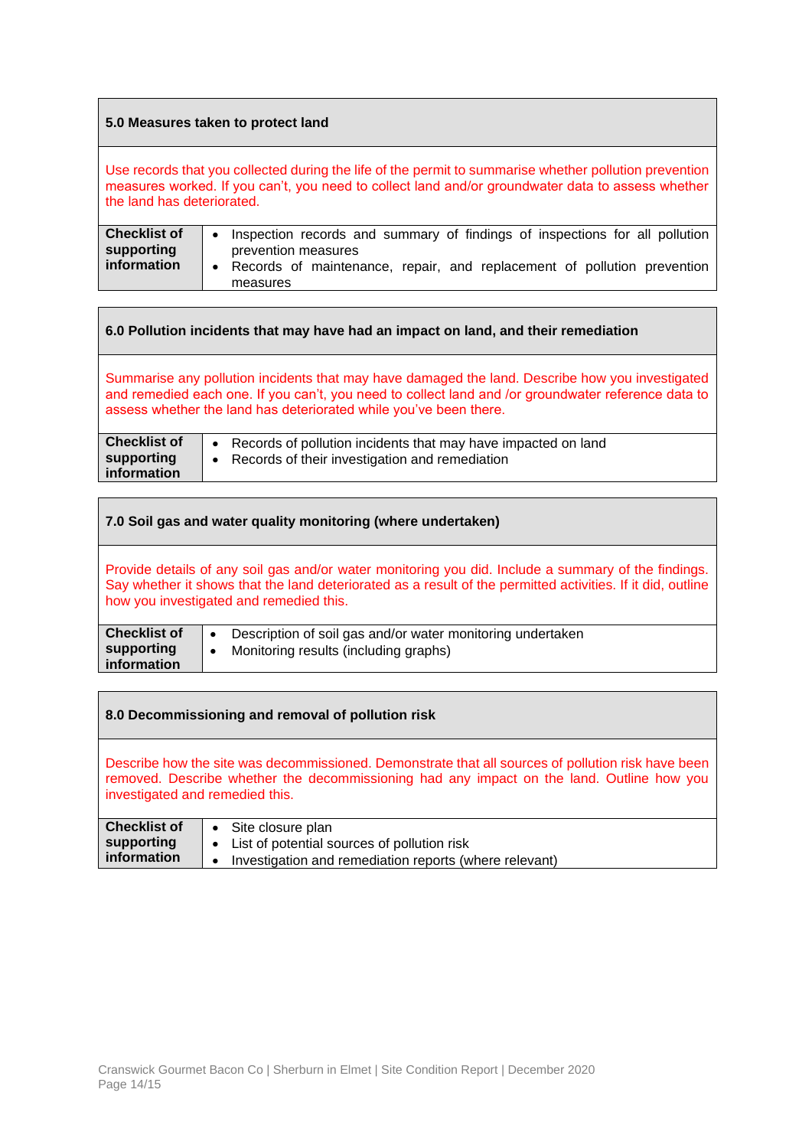#### **5.0 Measures taken to protect land**

Use records that you collected during the life of the permit to summarise whether pollution prevention measures worked. If you can't, you need to collect land and/or groundwater data to assess whether the land has deteriorated.

| <b>Checklist of</b>       | • Inspection records and summary of findings of inspections for all pollution                                |
|---------------------------|--------------------------------------------------------------------------------------------------------------|
| supporting<br>information | prevention measures<br>• Records of maintenance, repair, and replacement of pollution prevention<br>measures |

# **6.0 Pollution incidents that may have had an impact on land, and their remediation**

Summarise any pollution incidents that may have damaged the land. Describe how you investigated and remedied each one. If you can't, you need to collect land and /or groundwater reference data to assess whether the land has deteriorated while you've been there.

| <b>Checklist of</b>       | Records of pollution incidents that may have impacted on land |
|---------------------------|---------------------------------------------------------------|
| supporting<br>information | Records of their investigation and remediation                |

| 7.0 Soil gas and water quality monitoring (where undertaken)                                                                                                                                                                                                  |                                                                                                                               |
|---------------------------------------------------------------------------------------------------------------------------------------------------------------------------------------------------------------------------------------------------------------|-------------------------------------------------------------------------------------------------------------------------------|
| Provide details of any soil gas and/or water monitoring you did. Include a summary of the findings.<br>Say whether it shows that the land deteriorated as a result of the permitted activities. If it did, outline<br>how you investigated and remedied this. |                                                                                                                               |
| <b>Checklist of</b><br>supporting<br>information                                                                                                                                                                                                              | Description of soil gas and/or water monitoring undertaken<br>$\bullet$<br>Monitoring results (including graphs)<br>$\bullet$ |

| 8.0 Decommissioning and removal of pollution risk                                                                                                                                                                                  |                                                                                            |
|------------------------------------------------------------------------------------------------------------------------------------------------------------------------------------------------------------------------------------|--------------------------------------------------------------------------------------------|
| Describe how the site was decommissioned. Demonstrate that all sources of pollution risk have been<br>removed. Describe whether the decommissioning had any impact on the land. Outline how you<br>investigated and remedied this. |                                                                                            |
| <b>Checklist of</b><br>supporting                                                                                                                                                                                                  | Site closure plan<br>$\bullet$<br>List of potential sources of pollution risk<br>$\bullet$ |
| information                                                                                                                                                                                                                        | Investigation and remediation reports (where relevant)<br>$\bullet$                        |